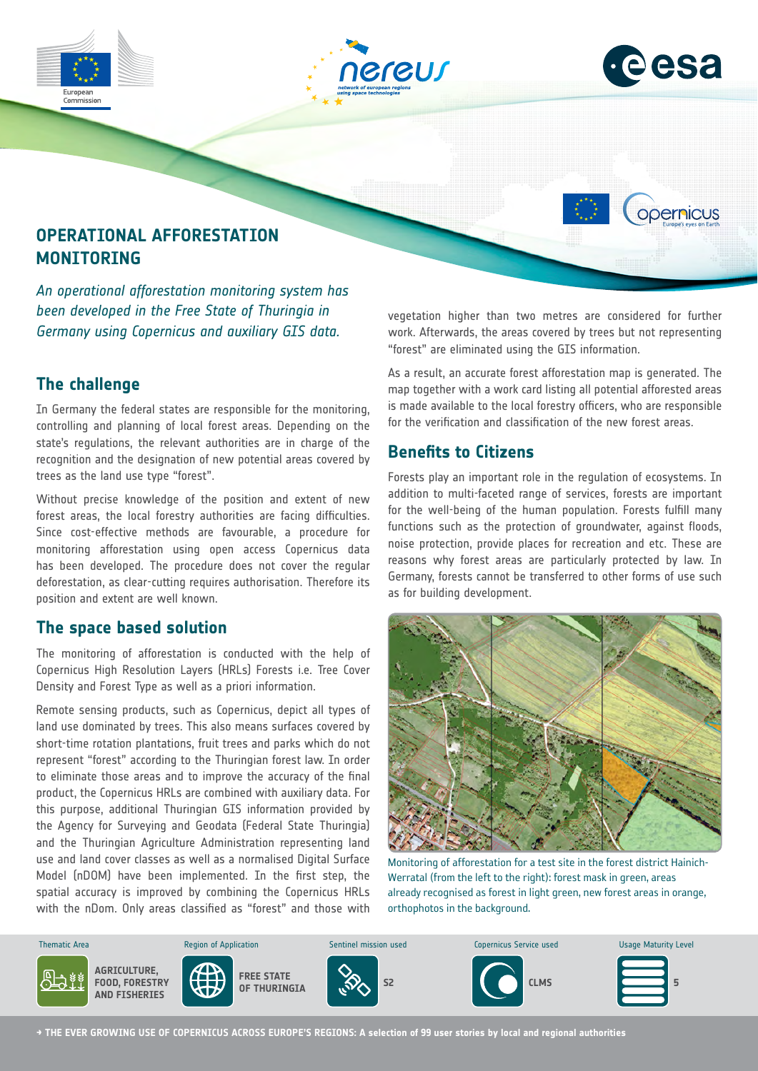



opernicus

## **OPERATIONAL AFFORESTATION MONITORING**

*An operational afforestation monitoring system has been developed in the Free State of Thuringia in Germany using Copernicus and auxiliary GIS data.*

### **The challenge**

In Germany the federal states are responsible for the monitoring, controlling and planning of local forest areas. Depending on the state's regulations, the relevant authorities are in charge of the recognition and the designation of new potential areas covered by trees as the land use type "forest".

Without precise knowledge of the position and extent of new forest areas, the local forestry authorities are facing difficulties. Since cost-effective methods are favourable, a procedure for monitoring afforestation using open access Copernicus data has been developed. The procedure does not cover the regular deforestation, as clear-cutting requires authorisation. Therefore its position and extent are well known.

#### **The space based solution**

The monitoring of afforestation is conducted with the help of Copernicus High Resolution Layers (HRLs) Forests i.e. Tree Cover Density and Forest Type as well as a priori information.

Remote sensing products, such as Copernicus, depict all types of land use dominated by trees. This also means surfaces covered by short-time rotation plantations, fruit trees and parks which do not represent "forest" according to the Thuringian forest law. In order to eliminate those areas and to improve the accuracy of the final product, the Copernicus HRLs are combined with auxiliary data. For this purpose, additional Thuringian GIS information provided by the Agency for Surveying and Geodata (Federal State Thuringia) and the Thuringian Agriculture Administration representing land use and land cover classes as well as a normalised Digital Surface Model (nDOM) have been implemented. In the first step, the spatial accuracy is improved by combining the Copernicus HRLs with the nDom. Only areas classified as "forest" and those with vegetation higher than two metres are considered for further work. Afterwards, the areas covered by trees but not representing "forest" are eliminated using the GIS information.

As a result, an accurate forest afforestation map is generated. The map together with a work card listing all potential afforested areas is made available to the local forestry officers, who are responsible for the verification and classification of the new forest areas.

#### **Benefits to Citizens**

Forests play an important role in the regulation of ecosystems. In addition to multi-faceted range of services, forests are important for the well-being of the human population. Forests fulfill many functions such as the protection of groundwater, against floods, noise protection, provide places for recreation and etc. These are reasons why forest areas are particularly protected by law. In Germany, forests cannot be transferred to other forms of use such as for building development.



Monitoring of afforestation for a test site in the forest district Hainich-Werratal (from the left to the right): forest mask in green, areas already recognised as forest in light green, new forest areas in orange, orthophotos in the background.



**→ THE EVER GROWING USE OF COPERNICUS ACROSS EUROPE'S REGIONS: A selection of 99 user stories by local and regional authorities**